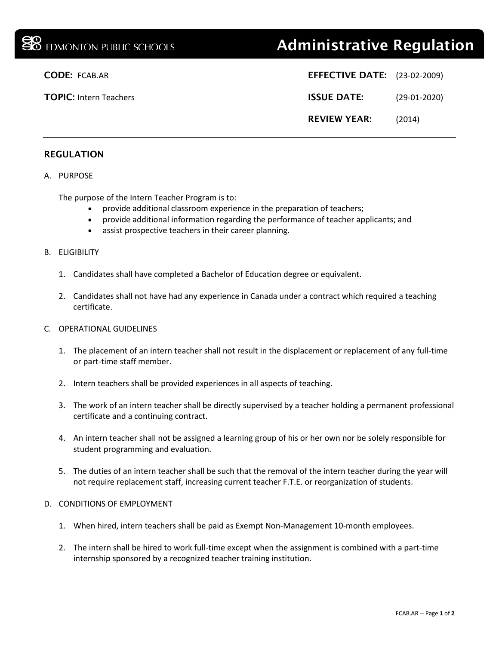# **BB** EDMONTON PUBLIC SCHOOLS **Administrative Regulation**

| <b>EFFECTIVE DATE:</b> (23-02-2009) |                |
|-------------------------------------|----------------|
| <b>ISSUE DATE:</b>                  | $(29-01-2020)$ |
| <b>REVIEW YEAR:</b>                 | (2014)         |

**CODE: FCAB.AR** 

**TOPIC: Intern Teachers** 

# REGULATION

### A. PURPOSE

The purpose of the Intern Teacher Program is to:

- provide additional classroom experience in the preparation of teachers;
- provide additional information regarding the performance of teacher applicants; and
- assist prospective teachers in their career planning.

#### B. ELIGIBILITY

- 1. Candidates shall have completed a Bachelor of Education degree or equivalent.
- 2. Candidates shall not have had any experience in Canada under a contract which required a teaching certificate.

#### C. OPERATIONAL GUIDELINES

- 1. The placement of an intern teacher shall not result in the displacement or replacement of any full-time or part-time staff member.
- 2. Intern teachers shall be provided experiences in all aspects of teaching.
- 3. The work of an intern teacher shall be directly supervised by a teacher holding a permanent professional certificate and a continuing contract.
- 4. An intern teacher shall not be assigned a learning group of his or her own nor be solely responsible for student programming and evaluation.
- 5. The duties of an intern teacher shall be such that the removal of the intern teacher during the year will not require replacement staff, increasing current teacher F.T.E. or reorganization of students.

#### D. CONDITIONS OF EMPLOYMENT

- 1. When hired, intern teachers shall be paid as Exempt Non-Management 10-month employees.
- 2. The intern shall be hired to work full-time except when the assignment is combined with a part-time internship sponsored by a recognized teacher training institution.